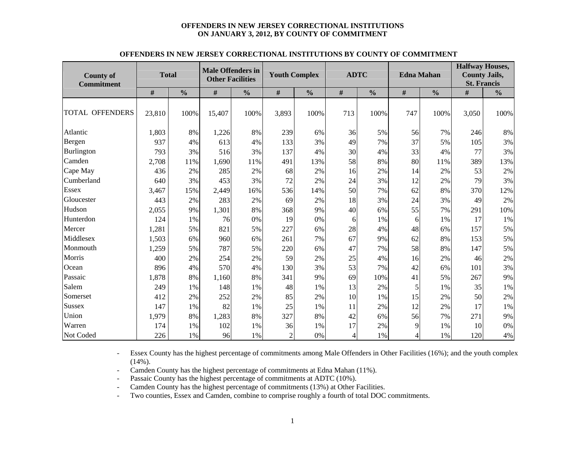#### **OFFENDERS IN NEW JERSEY CORRECTIONAL INSTITUTIONS ON JANUARY 3, 2012, BY COUNTY OF COMMITMENT**

|                                       |              |               | <b>Male Offenders in</b> |               |                      |               |             |               |                   |               | <b>Halfway Houses,</b>                     |               |
|---------------------------------------|--------------|---------------|--------------------------|---------------|----------------------|---------------|-------------|---------------|-------------------|---------------|--------------------------------------------|---------------|
| <b>County of</b><br><b>Commitment</b> | <b>Total</b> |               | <b>Other Facilities</b>  |               | <b>Youth Complex</b> |               | <b>ADTC</b> |               | <b>Edna Mahan</b> |               | <b>County Jails,</b><br><b>St. Francis</b> |               |
|                                       | $\#$         | $\frac{0}{0}$ | $\#$                     | $\frac{0}{0}$ | $\#$                 | $\frac{0}{0}$ | #           | $\frac{0}{0}$ | $\#$              | $\frac{0}{0}$ | $\#$                                       | $\frac{0}{0}$ |
|                                       |              |               |                          |               |                      |               |             |               |                   |               |                                            |               |
| <b>TOTAL OFFENDERS</b>                | 23,810       | 100%          | 15,407                   | 100%          | 3,893                | 100%          | 713         | 100%          | 747               | 100%          | 3,050                                      | 100%          |
|                                       |              |               |                          |               |                      |               |             |               |                   |               |                                            |               |
| Atlantic                              | 1,803        | 8%            | 1,226                    | 8%            | 239                  | 6%            | 36          | 5%            | 56                | 7%            | 246                                        | 8%            |
| Bergen                                | 937          | 4%            | 613                      | 4%            | 133                  | 3%            | 49          | 7%            | 37                | 5%            | 105                                        | 3%            |
| Burlington                            | 793          | 3%            | 516                      | 3%            | 137                  | 4%            | 30          | 4%            | 33                | 4%            | 77                                         | 3%            |
| Camden                                | 2,708        | 11%           | 1,690                    | 11%           | 491                  | 13%           | 58          | 8%            | 80                | 11%           | 389                                        | 13%           |
| Cape May                              | 436          | 2%            | 285                      | 2%            | 68                   | 2%            | 16          | 2%            | 14                | 2%            | 53                                         | 2%            |
| Cumberland                            | 640          | 3%            | 453                      | 3%            | 72                   | 2%            | 24          | 3%            | 12                | 2%            | 79                                         | 3%            |
| <b>Essex</b>                          | 3,467        | 15%           | 2,449                    | 16%           | 536                  | 14%           | 50          | 7%            | 62                | 8%            | 370                                        | 12%           |
| Gloucester                            | 443          | 2%            | 283                      | 2%            | 69                   | 2%            | 18          | 3%            | 24                | 3%            | 49                                         | 2%            |
| Hudson                                | 2,055        | 9%            | 1,301                    | 8%            | 368                  | 9%            | 40          | 6%            | 55                | 7%            | 291                                        | 10%           |
| Hunterdon                             | 124          | 1%            | 76                       | 0%            | 19                   | 0%            | 6           | 1%            | 6                 | 1%            | 17                                         | 1%            |
| Mercer                                | 1,281        | 5%            | 821                      | 5%            | 227                  | 6%            | 28          | 4%            | 48                | 6%            | 157                                        | 5%            |
| Middlesex                             | 1,503        | 6%            | 960                      | 6%            | 261                  | 7%            | 67          | 9%            | 62                | 8%            | 153                                        | 5%            |
| Monmouth                              | 1,259        | 5%            | 787                      | 5%            | 220                  | 6%            | 47          | 7%            | 58                | 8%            | 147                                        | 5%            |
| Morris                                | 400          | 2%            | 254                      | 2%            | 59                   | 2%            | 25          | 4%            | 16                | 2%            | 46                                         | 2%            |
| Ocean                                 | 896          | 4%            | 570                      | 4%            | 130                  | 3%            | 53          | 7%            | 42                | 6%            | 101                                        | 3%            |
| Passaic                               | 1,878        | 8%            | 1,160                    | 8%            | 341                  | 9%            | 69          | 10%           | 41                | 5%            | 267                                        | 9%            |
| Salem                                 | 249          | 1%            | 148                      | 1%            | 48                   | 1%            | 13          | 2%            | 5                 | 1%            | 35                                         | 1%            |
| Somerset                              | 412          | 2%            | 252                      | 2%            | 85                   | 2%            | 10          | 1%            | 15                | 2%            | 50                                         | 2%            |
| Sussex                                | 147          | 1%            | 82                       | 1%            | 25                   | 1%            | 11          | 2%            | 12                | 2%            | 17                                         | $1\%$         |
| Union                                 | 1,979        | 8%            | 1,283                    | 8%            | 327                  | 8%            | 42          | 6%            | 56                | 7%            | 271                                        | 9%            |
| Warren                                | 174          | 1%            | 102                      | 1%            | 36                   | 1%            | 17          | 2%            | 9                 | 1%            | 10                                         | $0\%$         |
| Not Coded                             | 226          | 1%            | 96                       | 1%            | $\overline{c}$       | 0%            | 4           | 1%            | 4                 | 1%            | 120                                        | 4%            |

#### **OFFENDERS IN NEW JERSEY CORRECTIONAL INSTITUTIONS BY COUNTY OF COMMITMENT**

- Essex County has the highest percentage of commitments among Male Offenders in Other Facilities (16%); and the youth complex  $(14\%)$ .

-Camden County has the highest percentage of commitments at Edna Mahan (11%).

-Passaic County has the highest percentage of commitments at ADTC (10%).

-Camden County has the highest percentage of commitments (13%) at Other Facilities.

-Two counties, Essex and Camden, combine to comprise roughly a fourth of total DOC commitments.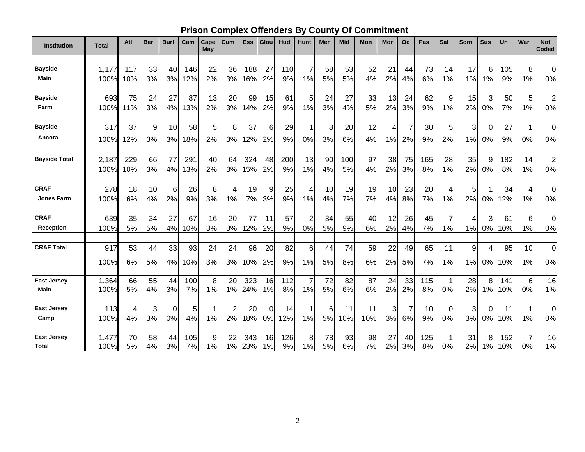## **Prison Complex Offenders By County Of Commitment**

| <b>Institution</b>   | <b>Total</b> | Atl | <b>Ber</b> | <b>Burl</b> | Cam | Cape<br>May | Cum | <b>Ess</b> | Glou | Hud | <b>Hunt</b>    | Mer | <b>Mid</b> | Mon | Mor | Oc | Pas | Sal | Som | <b>Sus</b>     | Un  | War | <b>Not</b><br><b>Coded</b> |
|----------------------|--------------|-----|------------|-------------|-----|-------------|-----|------------|------|-----|----------------|-----|------------|-----|-----|----|-----|-----|-----|----------------|-----|-----|----------------------------|
|                      |              |     |            |             |     |             |     |            |      |     |                |     |            |     |     |    |     |     |     |                |     |     |                            |
| <b>Bayside</b>       | 1,177        | 117 | 33         | 40          | 146 | 22          | 36  | 188        | 27   | 110 | $\overline{7}$ | 58  | 53         | 52  | 21  | 44 | 73  | 14  | 17  | 6              | 105 | 8   | $\overline{0}$             |
| <b>Main</b>          | 100%         | 10% | 3%         | 3%          | 12% | 2%          | 3%  | 16%        | 2%   | 9%  | 1%             | 5%  | 5%         | 4%  | 2%  | 4% | 6%  | 1%  | 1%  | 1%             | 9%  | 1%  | 0%                         |
| <b>Bayside</b>       | 693          | 75  | 24         | 27          | 87  | 13          | 20  | 99         | 15   | 61  | 5              | 24  | 27         | 33  | 13  | 24 | 62  | 9   | 15  | 3              | 50  | 5   | $\overline{c}$             |
| Farm                 | 100%         | 11% | 3%         | 4%          | 13% | 2%          | 3%  | 14%        | 2%   | 9%  | 1%             | 3%  | 4%         | 5%  | 2%  | 3% | 9%  | 1%  | 2%  | 0%             | 7%  | 1%  | 0%                         |
| <b>Bayside</b>       | 317          | 37  | 9          | 10          | 58  | 5           | 8   | 37         | 6    | 29  | -1             | 8   | 20         | 12  | 4   |    | 30  | 5   | 3   | 0              | 27  |     | 0                          |
| Ancora               | 100%         | 12% | 3%         | 3%          | 18% | 2%          | 3%  | 12%        | 2%   | 9%  | 0%             | 3%  | 6%         | 4%  | 1%  | 2% | 9%  | 2%  | 1%  | 0%             | 9%  | 0%  | 0%                         |
|                      |              |     |            |             |     |             |     |            |      |     |                |     |            |     |     |    |     |     |     |                |     |     |                            |
| <b>Bayside Total</b> | 2,187        | 229 | 66         | 77          | 291 | 40          | 64  | 324        | 48   | 200 | 13             | 90  | 100        | 97  | 38  | 75 | 165 | 28  | 35  | 9              | 182 | 14  | $\overline{c}$             |
|                      | 100%         | 10% | 3%         | 4%          | 13% | 2%          | 3%  | 15%        | 2%   | 9%  | 1%             | 4%  | 5%         | 4%  | 2%  | 3% | 8%  | 1%  | 2%  | 0%             | 8%  | 1%  | 0%                         |
| <b>CRAF</b>          | 278          | 18  | 10         | 6           | 26  | 8           | 4   | 19         | 9    | 25  | 4              | 10  | 19         | 19  | 10  | 23 | 20  | 4   | 5   |                | 34  | 4   | $\boldsymbol{0}$           |
| <b>Jones Farm</b>    | 100%         | 6%  | 4%         | 2%          | 9%  | 3%          | 1%  | 7%         | 3%   | 9%  | 1%             | 4%  | 7%         | 7%  | 4%  | 8% | 7%  | 1%  | 2%  | 0%             | 12% | 1%  | 0%                         |
| <b>CRAF</b>          | 639          | 35  | 34         | 27          | 67  | 16          | 20  | 77         | 11   | 57  | $\overline{2}$ | 34  | 55         | 40  | 12  | 26 | 45  | 7   | 4   | 3              | 61  | 6   | 0                          |
| Reception            | 100%         | 5%  | 5%         | 4%          | 10% | 3%          | 3%  | 12%        | 2%   | 9%  | 0%             | 5%  | 9%         | 6%  | 2%  | 4% | 7%  | 1%  | 1%  | 0%             | 10% | 1%  | 0%                         |
| <b>CRAF Total</b>    | 917          | 53  | 44         | 33          | 93  | 24          | 24  | 96         | 20   | 82  | 6              | 44  | 74         | 59  | 22  | 49 | 65  | 11  | 9   | $\overline{4}$ | 95  | 10  | $\mathbf 0$                |
|                      | 100%         | 6%  | 5%         | 4%          | 10% | 3%          | 3%  | 10%        | 2%   | 9%  | 1%             | 5%  | 8%         | 6%  | 2%  | 5% | 7%  | 1%  | 1%  | 0%             | 10% | 1%  | 0%                         |
|                      |              |     |            |             |     |             |     |            |      |     |                |     |            |     |     |    |     |     |     |                |     |     |                            |
| <b>East Jersey</b>   | 1,364        | 66  | 55         | 44          | 100 | 8           | 20  | 323        | 16   | 112 |                | 72  | 82         | 87  | 24  | 33 | 115 |     | 28  | 8              | 141 | 6   | 16                         |
| Main                 | 100%         | 5%  | 4%         | 3%          | 7%  | 1%          | 1%  | 24%        | 1%   | 8%  | 1%             | 5%  | 6%         | 6%  | 2%  | 2% | 8%  | 0%  | 2%  | 1%             | 10% | 0%  | 1%                         |
| <b>East Jersey</b>   | 113          | 4   | 3          | 0           | 5   | 1           | 2   | 20         | 0    | 14  | -1             | 6   | 11         | 11  | 3   |    | 10  | 0   | 3   | 0              | 11  |     | 0                          |
| Camp                 | 100%         | 4%  | 3%         | 0%          | 4%  | 1%          | 2%  | 18%        | 0%   | 12% | 1%             | 5%  | 10%        | 10% | 3%  | 6% | 9%  | 0%  | 3%  | 0%             | 10% | 1%  | 0%                         |
| <b>East Jersey</b>   | 1,477        | 70  | 58         | 44          | 105 | 9           | 22  | 343        | 16   | 126 | 8 <sup>1</sup> | 78  | 93         | 98  | 27  | 40 | 125 | 1   | 31  | 8              | 152 | 7   | 16                         |
| <b>Total</b>         | 100%         | 5%  | 4%         | 3%          | 7%  | 1%          | 1%  | 23%        | 1%   | 9%  | 1%             | 5%  | 6%         | 7%  | 2%  | 3% | 8%  | 0%  | 2%  | 1%             | 10% | 0%  | 1%                         |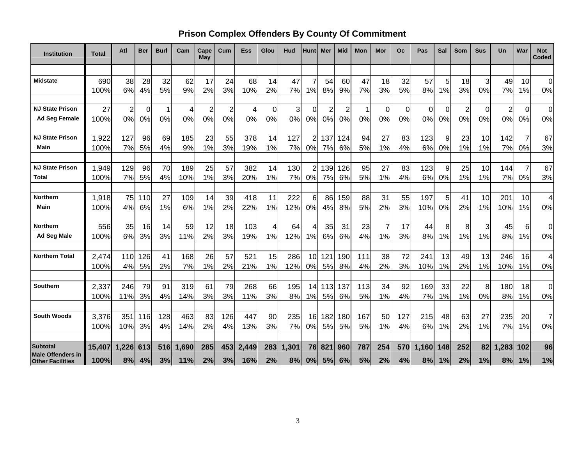## **Prison Complex Offenders By County Of Commitment**

| <b>Institution</b>                                  | Total       | Atl      | <b>Ber</b> | <b>Burl</b> | Cam      | Cape<br>May    | Cum            | Ess       | Glou     | Hud      | Hunt           | Mer      | <b>Mid</b> | Mon      | Mor      | Oc       | Pas      | Sal     | Som            | <b>Sus</b> | Un       | War      | <b>Not</b><br>Coded |
|-----------------------------------------------------|-------------|----------|------------|-------------|----------|----------------|----------------|-----------|----------|----------|----------------|----------|------------|----------|----------|----------|----------|---------|----------------|------------|----------|----------|---------------------|
|                                                     |             |          |            |             |          |                |                |           |          |          |                |          |            |          |          |          |          |         |                |            |          |          |                     |
| <b>Midstate</b>                                     | 690<br>100% | 38<br>6% | 28<br>4%   | 32<br>5%    | 62<br>9% | 17<br>2%       | 24<br>3%       | 68<br>10% | 14<br>2% | 47<br>7% | 7<br>1%        | 54<br>8% | 60<br>9%   | 47<br>7% | 18<br>3% | 32<br>5% | 57<br>8% | 5<br>1% | 18<br>3%       | 3<br>0%    | 49<br>7% | 10<br>1% | 0<br>0%             |
|                                                     |             |          |            |             |          |                |                |           |          |          |                |          |            |          |          |          |          |         |                |            |          |          |                     |
| <b>NJ State Prison</b>                              | 27          | 2        | 0          | 1           | 4        | $\overline{2}$ | $\overline{2}$ | 4         | 0        | 3        | 0              | 2        | 2          | 1        | $\Omega$ | $\Omega$ | 0        | 0       | $\overline{c}$ | 0          | 2        | 0        | $\mathbf 0$         |
| <b>Ad Seq Female</b>                                | 100%        | 0%       | 0%         | 0%          | 0%       | 0%             | 0%             | 0%        | 0%       | 0%       | 0%             | 0%       | 0%         | 0%       | 0%       | 0%       | 0%       | 0%      | 0%             | 0%         | 0%       | 0%       | 0%                  |
| <b>NJ State Prison</b>                              | 1,922       | 127      | 96         | 69          | 185      | 23             | 55             | 378       | 14       | 127      | 2              | 137      | 124        | 94       | 27       | 83       | 123      | 9       | 23             | 10         | 142      |          | 67                  |
| Main                                                | 100%        | 7%       | 5%         | 4%          | 9%       | 1%             | 3%             | 19%       | 1%       | 7%       | 0%             | 7%       | 6%         | 5%       | 1%       | 4%       | 6%       | 0%      | 1%             | 1%         | 7%       | 0%       | 3%                  |
| <b>NJ State Prison</b>                              | 1,949       | 129      | 96         | 70          | 189      | 25             | 57             | 382       | 14       | 130      | $\overline{2}$ | 139      | 126        | 95       | 27       | 83       | 123      | 9       | 25             | 10         | 144      |          | 67                  |
| Total                                               | 100%        | 7%       | 5%         | 4%          | 10%      | 1%             | 3%             | 20%       | 1%       | 7%       | 0%             | 7%       | 6%         | 5%       | 1%       | 4%       | 6%       | 0%      | 1%             | 1%         | 7%       | 0%       | 3%                  |
| <b>Northern</b>                                     | 1,918       | 75       | 110        | 27          | 109      | 14             | 39             | 418       | 11       | 222      | 6              | 86       | 159        | 88       | 31       | 55       | 197      | 5       | 41             | 10         | 201      | 10       | $\overline{4}$      |
| Main                                                | 100%        | 4%       | 6%         | 1%          | 6%       | 1%             | 2%             | 22%       | 1%       | 12%      | 0%             | 4%       | 8%         | 5%       | 2%       | 3%       | 10%      | 0%      | 2%             | 1%         | 10%      | 1%       | 0%                  |
| <b>Northern</b>                                     | 556         | 35       | 16         | 14          | 59       | 12             | 18             | 103       | 4        | 64       | 4              | 35       | 31         | 23       | 7        | 17       | 44       | 8       | 8              | 3          | 45       | 6        | 0                   |
| <b>Ad Seg Male</b>                                  | 100%        | 6%       | 3%         | 3%          | 11%      | 2%             | 3%             | 19%       | 1%       | 12%      | 1%             | 6%       | 6%         | 4%       | 1%       | 3%       | 8%       | 1%      | 1%             | 1%         | 8%       | 1%       | 0%                  |
| <b>Northern Total</b>                               | 2,474       | 110      | 126        | 41          | 168      | 26             | 57             | 521       | 15       | 286      | 10             | 121      | 190        | 111      | 38       | 72       | 241      | 13      | 49             | 13         | 246      | 16       | $\overline{4}$      |
|                                                     | 100%        | 4%       | 5%         | 2%          | 7%       | 1%             | 2%             | 21%       | 1%       | 12%      | 0%             | 5%       | 8%         | 4%       | 2%       | 3%       | 10%      | 1%      | 2%             | 1%         | 10%      | 1%       | 0%                  |
| <b>Southern</b>                                     | 2,337       | 246      | 79         | 91          | 319      | 61             | 79             | 268       | 66       | 195      | 14             | 113      | 137        | 113      | 34       | 92       | 169      | 33      | 22             | 8          | 180      | 18       | $\mathbf 0$         |
|                                                     | 100%        | 11%      | 3%         | 4%          | 14%      | 3%             | 3%             | 11%       | 3%       | 8%       | 1%             | 5%       | 6%         | 5%       | 1%       | 4%       | 7%       | 1%      | 1%             | 0%         | 8%       | 1%       | 0%                  |
| <b>South Woods</b>                                  | 3,376       | 351      | 116        | 128         | 463      | 83             | 126            | 447       | 90       | 235      | 16             | 182      | 180        | 167      | 50       | 127      | 215      | 48      | 63             | 27         | 235      | 20       | $\overline{7}$      |
|                                                     | 100%        | 10%      | 3%         | 4%          | 14%      | 2%             | 4%             | 13%       | 3%       | 7%       | 0%             | 5%       | 5%         | 5%       | 1%       | 4%       | 6%       | 1%      | 2%             | 1%         | 7%       | 1%       | 0%                  |
| <b>Subtotal</b>                                     | 15,407      | 1,226    | 613        | 516         | 1,690    | 285            | 453            | 2,449     | 283      | 1,301    | 76             | 821      | 960        | 787      | 254      | 570      | 1,160    | 148     | 252            | 82         | 1,283    | 102      | 96                  |
| <b>Male Offenders in</b><br><b>Other Facilities</b> | 100%        | 8%       | 4%         | 3%          | 11%      | 2%             | 3%             | 16%       | 2%       | 8%       | 0%             | 5%       | 6%         | 5%       | 2%       | 4%       | 8%       | 1%      | 2%             | 1%         | 8%       | 1%       | 1%                  |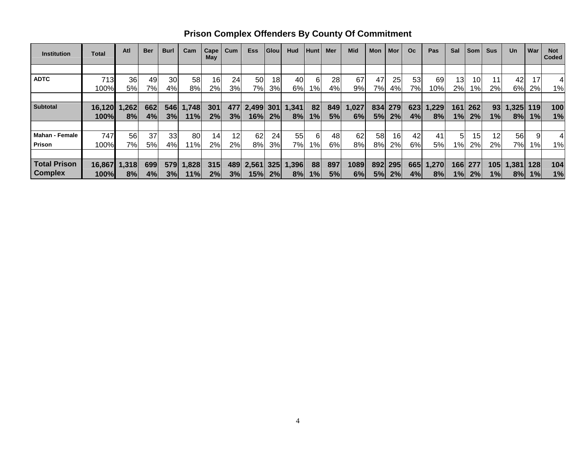| <b>Institution</b>    | Total  | Atl   | <b>Ber</b> | <b>Burl</b> | Cam   | Cape<br>May | Cum             | <b>Ess</b> | <b>Glou</b> | Hud   | <b>Hunt</b> | Mer | <b>Mid</b> | Mon | Mor | O <sub>c</sub> | Pas   | Sal   | <b>Som</b>      | <b>Sus</b>      | <b>Un</b> | War | <b>Not</b><br>Coded |
|-----------------------|--------|-------|------------|-------------|-------|-------------|-----------------|------------|-------------|-------|-------------|-----|------------|-----|-----|----------------|-------|-------|-----------------|-----------------|-----------|-----|---------------------|
|                       |        |       |            |             |       |             |                 |            |             |       |             |     |            |     |     |                |       |       |                 |                 |           |     |                     |
| <b>ADTC</b>           | 713    | 36    | 49         | 30          | 58    | 16          | 24              | 50         | 18          | 40    | 6           | 28  | 67         | 47  | 25  | 53             | 69    | 13    | 10              |                 | 42        |     |                     |
|                       | 100%   | 5%    | 7%         | 4%          | 8%    | 2%          | 3%              | 7%         | 3%          | 6%    | $1\%$       | 4%  | 9%         | 7%l | 4%  | 7%             | 10%   | 2%    | $1\%$           | 2%              | 6%        | 2%  | 1%                  |
|                       |        |       |            |             |       |             |                 |            |             |       |             |     |            |     |     |                |       |       |                 |                 |           |     |                     |
| <b>Subtotal</b>       | 16,120 | 1,262 | 662        | 546         | 1,748 | 301         | 4771            | 2,499      | 301         | 1,341 | 82          | 849 | 1,027      | 834 | 279 | 623            | 1,229 | 161   | 262             | 93 <sub>l</sub> | 1,325     | 119 | 100                 |
|                       | 100%   | 8%    | 4%         | 3%          | 11%   | 2%          | 3%              | 16%        | 2%          | 8%    | 1%          | 5%  | 6%         | 5%  | 2%  | 4%             | 8%    | 1%    | 2%              | $1\%$           | 8%        | 1%  | 1%                  |
|                       |        |       |            |             |       |             |                 |            |             |       |             |     |            |     |     |                |       |       |                 |                 |           |     |                     |
| <b>Mahan - Female</b> | 747    | 56    | 37         | 33          | 80    | 14          | 12 <sub>l</sub> | 62         | 24          | 55    | 6           | 48  | 62         | 58  | 16  | 42             | 41    | 5     | 15 <sub>1</sub> | 12              | 56        |     |                     |
| <b>Prison</b>         | 100%   | 7%    | 5%         | 4%          | 11%   | 2%          | $2\%$           | 8%         | 3%          | 7%l   | 1%          | 6%  | 8%         | 8%  | 2%  | 6%             | 5%    | $1\%$ | 2%              | 2%              | 7%        | 1%  | 1%                  |
|                       |        |       |            |             |       |             |                 |            |             |       |             |     |            |     |     |                |       |       |                 |                 |           |     |                     |
| <b>Total Prison</b>   | 16,867 | 1,318 | 699        | 579         | 1,828 | 315         | 489             | 2,561      | 325         | 1,396 | 88          | 897 | 1089       | 892 | 295 | 665            | 1,270 | 166   | 277             | 105             | 1,381     | 128 | 104                 |
| <b>Complex</b>        | 100%   | 8%    | 4%         | 3%          | 11%   | 2%          | 3%              | 15%        | 2%          | 8%    | 1%          | 5%  | 6%         | 5%  | 2%  | 4%             | 8%    | 1%    | 2%              | 1%              | 8%        | 1%  | 1%                  |

**Prison Complex Offenders By County Of Commitment**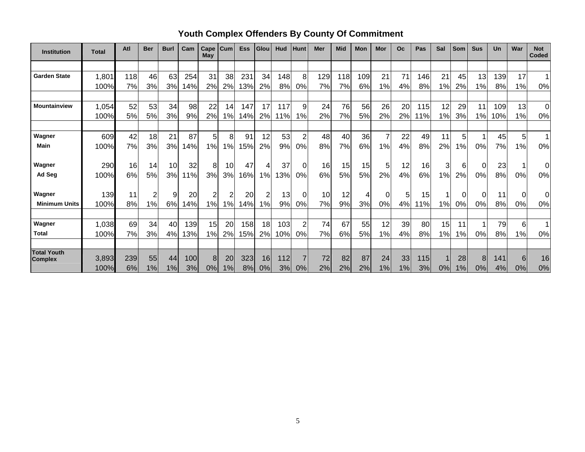| <b>Institution</b>                   | <b>Total</b> | Atl | <b>Ber</b> | <b>Burl</b>     | Cam | Cape<br>May | Cum | <b>Ess</b> | Glou | Hud | <b>Hunt</b>    | Mer | <b>Mid</b> | Mon | Mor | <b>Oc</b> | Pas | Sal   | Som           | <b>Sus</b> | Un  | War            | <b>Not</b><br><b>Coded</b> |
|--------------------------------------|--------------|-----|------------|-----------------|-----|-------------|-----|------------|------|-----|----------------|-----|------------|-----|-----|-----------|-----|-------|---------------|------------|-----|----------------|----------------------------|
|                                      |              |     |            |                 |     |             |     |            |      |     |                |     |            |     |     |           |     |       |               |            |     |                |                            |
| <b>Garden State</b>                  | 1,801        | 118 | 46         | 63              | 254 | 31          | 38  | 231        | 34   | 148 | 8              | 129 | 118        | 109 | 21  | 71        | 146 | 21    | 45            | 13         | 139 | 17             |                            |
|                                      | 100%         | 7%  | 3%         | 3%              | 14% | 2%          | 2%  | 13%        | 2%   | 8%  | 0%             | 7%  | 7%         | 6%  | 1%  | 4%        | 8%  | 1%    | 2%            | 1%         | 8%  | 1%             | 0%                         |
|                                      |              |     |            |                 |     |             |     |            |      |     |                |     |            |     |     |           |     |       |               |            |     |                |                            |
| <b>Mountainview</b>                  | 1,054        | 52  | 53         | 34              | 98  | 22          | 14  | 147        | 17   | 117 | 9              | 24  | 76         | 56  | 26  | 20        | 115 | 12    | 29            | 11         | 109 | 13             | $\mathbf 0$                |
|                                      | 100%         | 5%  | 5%         | 3%              | 9%  | 2%          | 1%  | 14%        | 2%   | 11% | $1\%$          | 2%  | 7%         | 5%  | 2%  | 2%        | 11% | 1%    | 3%            | 1%         | 10% | 1%             | 0%                         |
|                                      |              |     |            |                 |     |             |     |            |      |     |                |     |            |     |     |           |     |       |               |            |     |                |                            |
| Wagner                               | 609          | 42  | 18         | 21              | 87  | 5           | 8   | 91         | 12   | 53  | $\overline{2}$ | 48  | 40         | 36  |     | 22        | 49  | 11    | 5             |            | 45  | 5 <sub>l</sub> | 1                          |
| Main                                 | 100%         | 7%  | 3%         | 3%              | 14% | 1%          | 1%  | 15%        | 2%   | 9%  | 0%             | 8%  | 7%         | 6%  | 1%  | 4%        | 8%  | 2%    | $\frac{9}{6}$ | 0%         | 7%  | 1%             | 0%                         |
|                                      |              |     |            |                 |     |             |     |            |      |     |                |     |            |     |     |           |     |       |               |            |     |                |                            |
| Wagner                               | 290          | 16  | 14         | 10 <sub>1</sub> | 32  | 8           | 10  | 47         | 4    | 37  | $\Omega$       | 16  | 15         | 15  | 5   | 12        | 16  | 3     | 6             | 0          | 23  |                | 0                          |
| Ad Seg                               | 100%         | 6%  | 5%         | 3%              | 11% | 3%          | 3%  | 16%        | 1%   | 13% | 0%             | 6%  | 5%         | 5%  | 2%  | 4%        | 6%  | 1%    | 2%            | 0%         | 8%  | 0%             | 0%                         |
| Wagner                               | 139          | 11  | 2          | 9               | 20  | 2           | 2   | 20         | 2    | 13  | 0l             | 10  | 12         |     |     | 5         | 15  |       | 0             | 0          | 11  | <sup>O</sup>   | 0                          |
| <b>Minimum Units</b>                 | 100%         | 8%  | 1%         | 6%              | 14% | 1%          | 1%  | 14%        | 1%   | 9%  | 0%             | 7%  | 9%         | 3%  | 0%  | 4%        | 11% | 1%    | 0%            | 0%         | 8%  | 0%             | 0%                         |
|                                      |              |     |            |                 |     |             |     |            |      |     |                |     |            |     |     |           |     |       |               |            |     |                |                            |
| Wagner                               | 1,038        | 69  | 34         | 40              | 139 | 15          | 20  | 158        | 18   | 103 | 2              | 74  | 67         | 55  | 12  | 39        | 80  | 15    | 11            |            | 79  | 6              |                            |
| <b>Total</b>                         | 100%         | 7%  | 3%         | 4%              | 13% | 1%          | 2%  | 15%        | 2%   | 10% | 0%             | 7%  | 6%         | 5%  | 1%  | 4%        | 8%  | 1%    | 1%            | 0%         | 8%  | 1%             | 0%                         |
|                                      |              |     |            |                 |     |             |     |            |      |     |                |     |            |     |     |           |     |       |               |            |     |                |                            |
| <b>Total Youth</b><br><b>Complex</b> | 3,893        | 239 | 55         | 44              | 100 | 8           | 20  | 323        | 16   | 112 |                | 72  | 82         | 87  | 24  | 33        | 115 |       | 28            | 8          | 141 | 6              | 16                         |
|                                      | 100%         | 6%  | 1%         | 1%              | 3%  | 0%          | 1%  | 8%         | 0%   | 3%  | 0%             | 2%  | 2%         | 2%  | 1%  | 1%        | 3%  | $0\%$ | 1%            | 0%         | 4%  | 0%             | 0%                         |

# **Youth Complex Offenders By County Of Commitment**